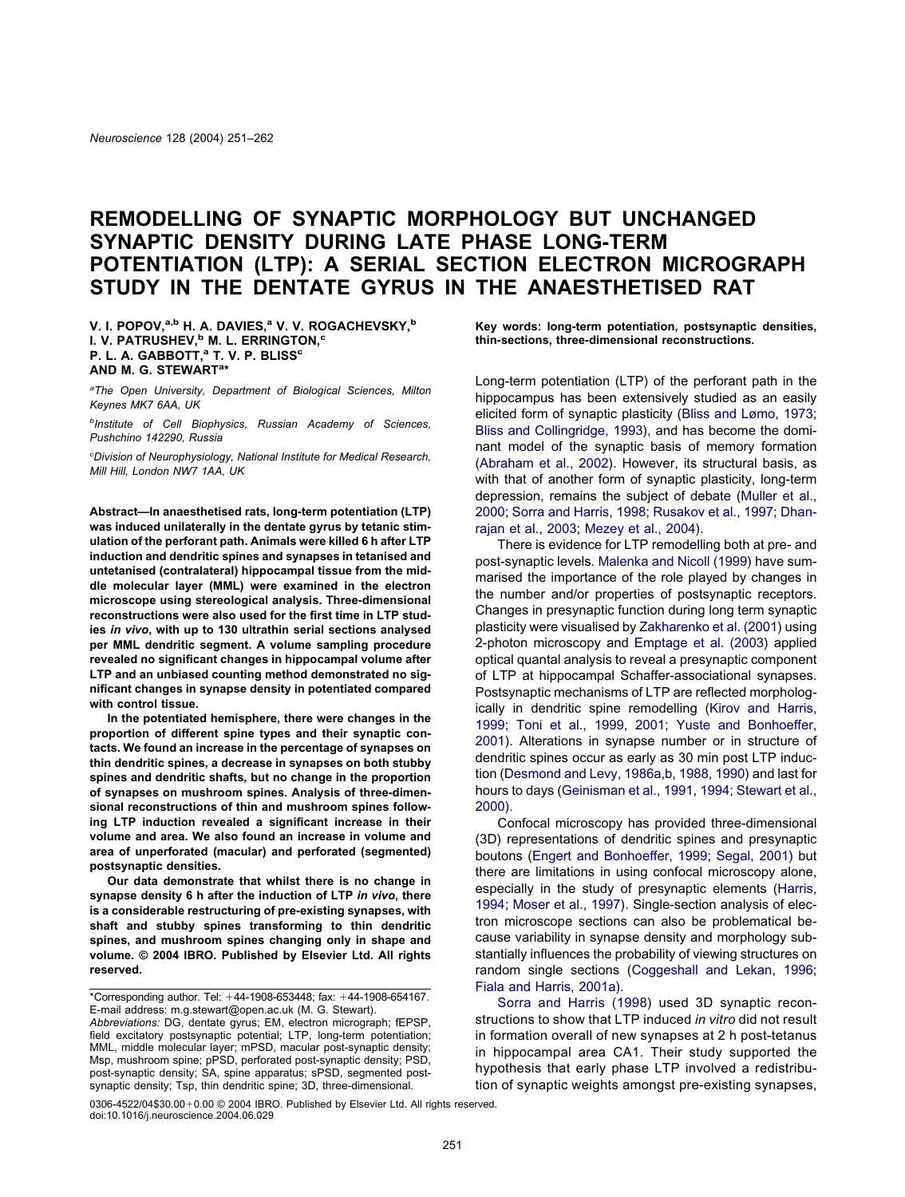# **REMODELLING OF SYNAPTIC MORPHOLOGY BUT UNCHANGED SYNAPTIC DENSITY DURING LATE PHASE LONG-TERM POTENTIATION (LTP): A SERIAL SECTION ELECTRON MICROGRAPH STUDY IN THE DENTATE GYRUS IN THE ANAESTHETISED RAT**

**V. I. POPOV,a,b H. A. DAVIES,a V. V. ROGACHEVSKY,b I. V. PATRUSHEV,<sup>b</sup> M. L. ERRINGTON,<sup>c</sup> P. L. A. GABBOTT,<sup>a</sup> T. V. P. BLISS<sup>c</sup> AND M. G. STEWARTa \***

*a The Open University, Department of Biological Sciences, Milton Keynes MK7 6AA, UK*

*b Institute of Cell Biophysics, Russian Academy of Sciences, Pushchino 142290, Russia*

*c Division of Neurophysiology, National Institute for Medical Research, Mill Hill, London NW7 1AA, UK*

**Abstract—In anaesthetised rats, long-term potentiation (LTP) was induced unilaterally in the dentate gyrus by tetanic stimulation of the perforant path. Animals were killed 6 h after LTP induction and dendritic spines and synapses in tetanised and untetanised (contralateral) hippocampal tissue from the middle molecular layer (MML) were examined in the electron microscope using stereological analysis. Three-dimensional reconstructions were also used for the first time in LTP studies** *in vivo***, with up to 130 ultrathin serial sections analysed per MML dendritic segment. A volume sampling procedure revealed no significant changes in hippocampal volume after LTP and an unbiased counting method demonstrated no significant changes in synapse density in potentiated compared with control tissue.**

**In the potentiated hemisphere, there were changes in the proportion of different spine types and their synaptic contacts. We found an increase in the percentage of synapses on thin dendritic spines, a decrease in synapses on both stubby spines and dendritic shafts, but no change in the proportion of synapses on mushroom spines. Analysis of three-dimensional reconstructions of thin and mushroom spines following LTP induction revealed a significant increase in their volume and area. We also found an increase in volume and area of unperforated (macular) and perforated (segmented) postsynaptic densities.**

**Our data demonstrate that whilst there is no change in synapse density 6 h after the induction of LTP** *in vivo***, there is a considerable restructuring of pre-existing synapses, with shaft and stubby spines transforming to thin dendritic spines, and mushroom spines changing only in shape and volume. © 2004 IBRO. Published by Elsevier Ltd. All rights reserved.**

\*Corresponding author. Tel:  $+44-1908-653448$ ; fax:  $+44-1908-654167$ . E-mail address: m.g.stewart@open.ac.uk (M. G. Stewart).

*Abbreviations:* DG, dentate gyrus; EM, electron micrograph; fEPSP, field excitatory postsynaptic potential; LTP, long-term potentiation; MML, middle molecular layer; mPSD, macular post-synaptic density; Msp, mushroom spine; pPSD, perforated post-synaptic density; PSD, post-synaptic density; SA, spine apparatus; sPSD, segmented postsynaptic density; Tsp, thin dendritic spine; 3D, three-dimensional.

**Key words: long-term potentiation, postsynaptic densities, thin-sections, three-dimensional reconstructions.**

Long-term potentiation (LTP) of the perforant path in the hippocampus has been extensively studied as an easily elicited form of synaptic plasticity [\(Bliss and Lømo, 1973;](#page-10-0) [Bliss and Collingridge, 1993\)](#page-10-0), and has become the dominant model of the synaptic basis of memory formation [\(Abraham et al., 2002\)](#page-10-0). However, its structural basis, as with that of another form of synaptic plasticity, long-term depression, remains the subject of debate [\(Muller et al.,](#page-11-0) [2000;](#page-11-0) [Sorra and Harris, 1998;](#page-11-0) [Rusakov et al., 1997;](#page-11-0) [Dhan](#page-10-0)[rajan et al., 2003;](#page-10-0) [Mezey et al., 2004\)](#page-11-0).

There is evidence for LTP remodelling both at pre- and post-synaptic levels. [Malenka and Nicoll \(1999\)](#page-11-0) have summarised the importance of the role played by changes in the number and/or properties of postsynaptic receptors. Changes in presynaptic function during long term synaptic plasticity were visualised by [Zakharenko et al. \(2001\)](#page-11-0) using 2-photon microscopy and [Emptage et al. \(2003\)](#page-10-0) applied optical quantal analysis to reveal a presynaptic component of LTP at hippocampal Schaffer-associational synapses. Postsynaptic mechanisms of LTP are reflected morphologically in dendritic spine remodelling [\(Kirov and Harris,](#page-11-0) [1999;](#page-11-0) [Toni et al., 1999,](#page-11-0) [2001;](#page-11-0) [Yuste and Bonhoeffer,](#page-11-0) [2001\)](#page-11-0). Alterations in synapse number or in structure of dendritic spines occur as early as 30 min post LTP induction [\(Desmond and Levy, 1986a,b,](#page-10-0) [1988,](#page-10-0) [1990\)](#page-10-0) and last for hours to days [\(Geinisman et al., 1991,](#page-10-0) [1994;](#page-10-0) [Stewart et al.,](#page-11-0) [2000\)](#page-11-0).

Confocal microscopy has provided three-dimensional (3D) representations of dendritic spines and presynaptic boutons [\(Engert and Bonhoeffer, 1999;](#page-10-0) [Segal, 2001\)](#page-11-0) but there are limitations in using confocal microscopy alone, especially in the study of presynaptic elements [\(Harris,](#page-10-0) [1994;](#page-10-0) [Moser et al., 1997\)](#page-11-0). Single-section analysis of electron microscope sections can also be problematical because variability in synapse density and morphology substantially influences the probability of viewing structures on random single sections [\(Coggeshall and Lekan, 1996;](#page-10-0) [Fiala and Harris, 2001a\)](#page-10-0).

[Sorra and Harris \(1998\)](#page-11-0) used 3D synaptic reconstructions to show that LTP induced *in vitro* did not result in formation overall of new synapses at 2 h post-tetanus in hippocampal area CA1. Their study supported the hypothesis that early phase LTP involved a redistribution of synaptic weights amongst pre-existing synapses,

 $0306-4522/04$30.00+0.00  $\odot$  2004 IBRO. Published by Elsevier Ltd. All rights reserved.$ doi:10.1016/j.neuroscience.2004.06.029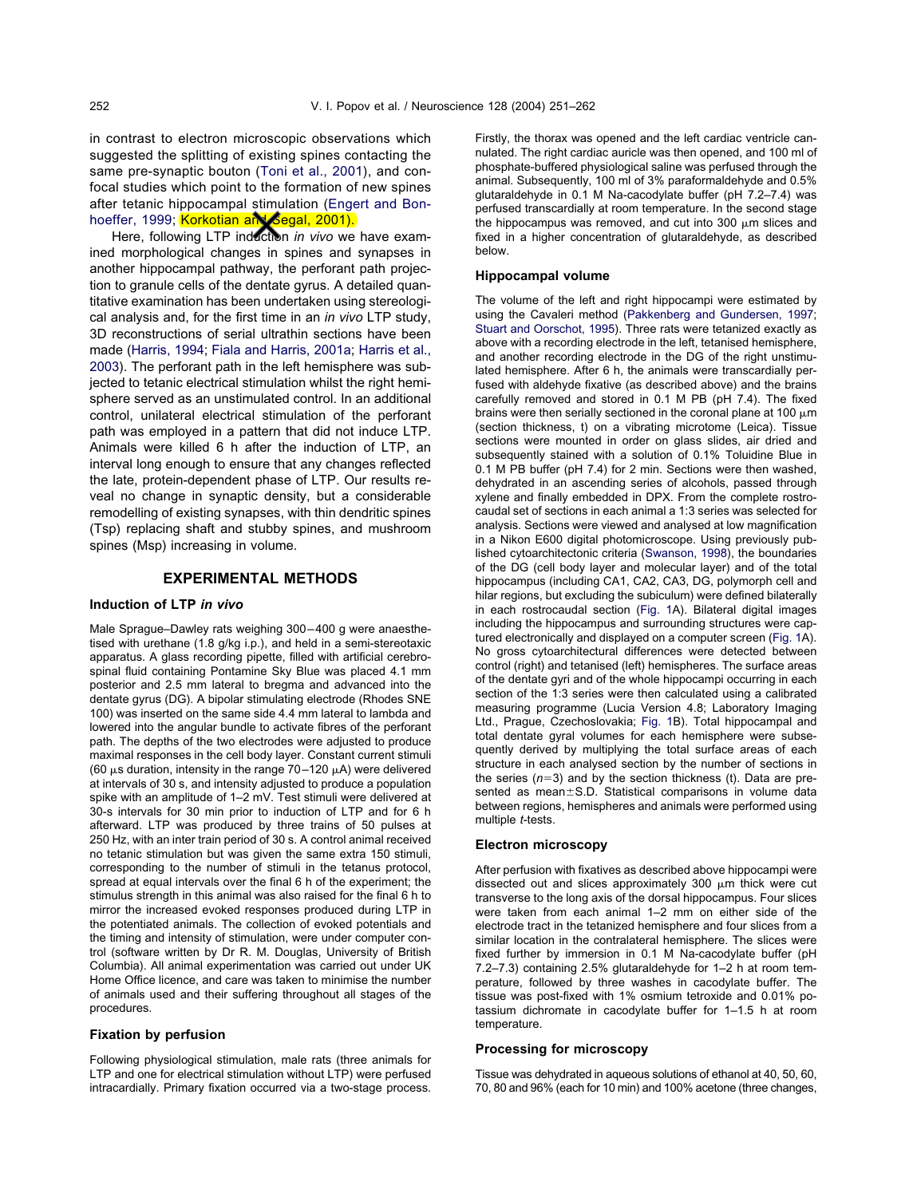in contrast to electron microscopic observations which suggested the splitting of existing spines contacting the same pre-synaptic bouton [\(Toni et al., 2001\)](#page-11-0), and confocal studies which point to the formation of new spines after tetanic hippocampal stimulation [\(Engert and Bon](#page-10-0)[hoeffer, 1999;](#page-10-0) <mark>Korkotian anV Segal, 2001).</mark>

Here, following LTP induction *in vivo* we have examined morphological changes in spines and synapses in another hippocampal pathway, the perforant path projection to granule cells of the dentate gyrus. A detailed quantitative examination has been undertaken using stereological analysis and, for the first time in an *in vivo* LTP study, 3D reconstructions of serial ultrathin sections have been made [\(Harris, 1994;](#page-10-0) [Fiala and Harris, 2001a;](#page-10-0) [Harris et al.,](#page-11-0) [2003\)](#page-11-0). The perforant path in the left hemisphere was subjected to tetanic electrical stimulation whilst the right hemisphere served as an unstimulated control. In an additional control, unilateral electrical stimulation of the perforant path was employed in a pattern that did not induce LTP. Animals were killed 6 h after the induction of LTP, an interval long enough to ensure that any changes reflected the late, protein-dependent phase of LTP. Our results reveal no change in synaptic density, but a considerable remodelling of existing synapses, with thin dendritic spines (Tsp) replacing shaft and stubby spines, and mushroom spines (Msp) increasing in volume.

## **EXPERIMENTAL METHODS**

## **Induction of LTP** *in vivo*

Male Sprague–Dawley rats weighing 300–400 g were anaesthetised with urethane (1.8 g/kg i.p.), and held in a semi-stereotaxic apparatus. A glass recording pipette, filled with artificial cerebrospinal fluid containing Pontamine Sky Blue was placed 4.1 mm posterior and 2.5 mm lateral to bregma and advanced into the dentate gyrus (DG). A bipolar stimulating electrode (Rhodes SNE 100) was inserted on the same side 4.4 mm lateral to lambda and lowered into the angular bundle to activate fibres of the perforant path. The depths of the two electrodes were adjusted to produce maximal responses in the cell body layer. Constant current stimuli (60  $\mu$ s duration, intensity in the range 70–120  $\mu$ A) were delivered at intervals of 30 s, and intensity adjusted to produce a population spike with an amplitude of 1–2 mV. Test stimuli were delivered at 30-s intervals for 30 min prior to induction of LTP and for 6 h afterward. LTP was produced by three trains of 50 pulses at 250 Hz, with an inter train period of 30 s. A control animal received no tetanic stimulation but was given the same extra 150 stimuli, corresponding to the number of stimuli in the tetanus protocol, spread at equal intervals over the final 6 h of the experiment; the stimulus strength in this animal was also raised for the final 6 h to mirror the increased evoked responses produced during LTP in the potentiated animals. The collection of evoked potentials and the timing and intensity of stimulation, were under computer control (software written by Dr R. M. Douglas, University of British Columbia). All animal experimentation was carried out under UK Home Office licence, and care was taken to minimise the number of animals used and their suffering throughout all stages of the procedures.

## **Fixation by perfusion**

Following physiological stimulation, male rats (three animals for LTP and one for electrical stimulation without LTP) were perfused intracardially. Primary fixation occurred via a two-stage process.

Firstly, the thorax was opened and the left cardiac ventricle cannulated. The right cardiac auricle was then opened, and 100 ml of phosphate-buffered physiological saline was perfused through the animal. Subsequently, 100 ml of 3% paraformaldehyde and 0.5% glutaraldehyde in 0.1 M Na-cacodylate buffer (pH 7.2–7.4) was perfused transcardially at room temperature. In the second stage the hippocampus was removed, and cut into 300  $\mu$ m slices and fixed in a higher concentration of glutaraldehyde, as described below.

#### **Hippocampal volume**

The volume of the left and right hippocampi were estimated by using the Cavaleri method [\(Pakkenberg and Gundersen, 1997;](#page-11-0) [Stuart and Oorschot, 1995\)](#page-11-0). Three rats were tetanized exactly as above with a recording electrode in the left, tetanised hemisphere, and another recording electrode in the DG of the right unstimulated hemisphere. After 6 h, the animals were transcardially perfused with aldehyde fixative (as described above) and the brains carefully removed and stored in 0.1 M PB (pH 7.4). The fixed brains were then serially sectioned in the coronal plane at 100  $\mu$ m (section thickness, t) on a vibrating microtome (Leica). Tissue sections were mounted in order on glass slides, air dried and subsequently stained with a solution of 0.1% Toluidine Blue in 0.1 M PB buffer (pH 7.4) for 2 min. Sections were then washed, dehydrated in an ascending series of alcohols, passed through xylene and finally embedded in DPX. From the complete rostrocaudal set of sections in each animal a 1:3 series was selected for analysis. Sections were viewed and analysed at low magnification in a Nikon E600 digital photomicroscope. Using previously published cytoarchitectonic criteria [\(Swanson, 1998\)](#page-11-0), the boundaries of the DG (cell body layer and molecular layer) and of the total hippocampus (including CA1, CA2, CA3, DG, polymorph cell and hilar regions, but excluding the subiculum) were defined bilaterally in each rostrocaudal section [\(Fig. 1A](#page-2-0)). Bilateral digital images including the hippocampus and surrounding structures were captured electronically and displayed on a computer screen [\(Fig. 1A](#page-2-0)). No gross cytoarchitectural differences were detected between control (right) and tetanised (left) hemispheres. The surface areas of the dentate gyri and of the whole hippocampi occurring in each section of the 1:3 series were then calculated using a calibrated measuring programme (Lucia Version 4.8; Laboratory Imaging Ltd., Prague, Czechoslovakia; [Fig. 1B](#page-2-0)). Total hippocampal and total dentate gyral volumes for each hemisphere were subsequently derived by multiplying the total surface areas of each structure in each analysed section by the number of sections in the series  $(n=3)$  and by the section thickness (t). Data are presented as mean $\pm$ S.D. Statistical comparisons in volume data between regions, hemispheres and animals were performed using multiple *t*-tests.

#### **Electron microscopy**

After perfusion with fixatives as described above hippocampi were dissected out and slices approximately 300  $\mu$ m thick were cut transverse to the long axis of the dorsal hippocampus. Four slices were taken from each animal 1–2 mm on either side of the electrode tract in the tetanized hemisphere and four slices from a similar location in the contralateral hemisphere. The slices were fixed further by immersion in 0.1 M Na-cacodylate buffer (pH 7.2–7.3) containing 2.5% glutaraldehyde for 1–2 h at room temperature, followed by three washes in cacodylate buffer. The tissue was post-fixed with 1% osmium tetroxide and 0.01% potassium dichromate in cacodylate buffer for 1–1.5 h at room temperature.

#### **Processing for microscopy**

Tissue was dehydrated in aqueous solutions of ethanol at 40, 50, 60, 70, 80 and 96% (each for 10 min) and 100% acetone (three changes,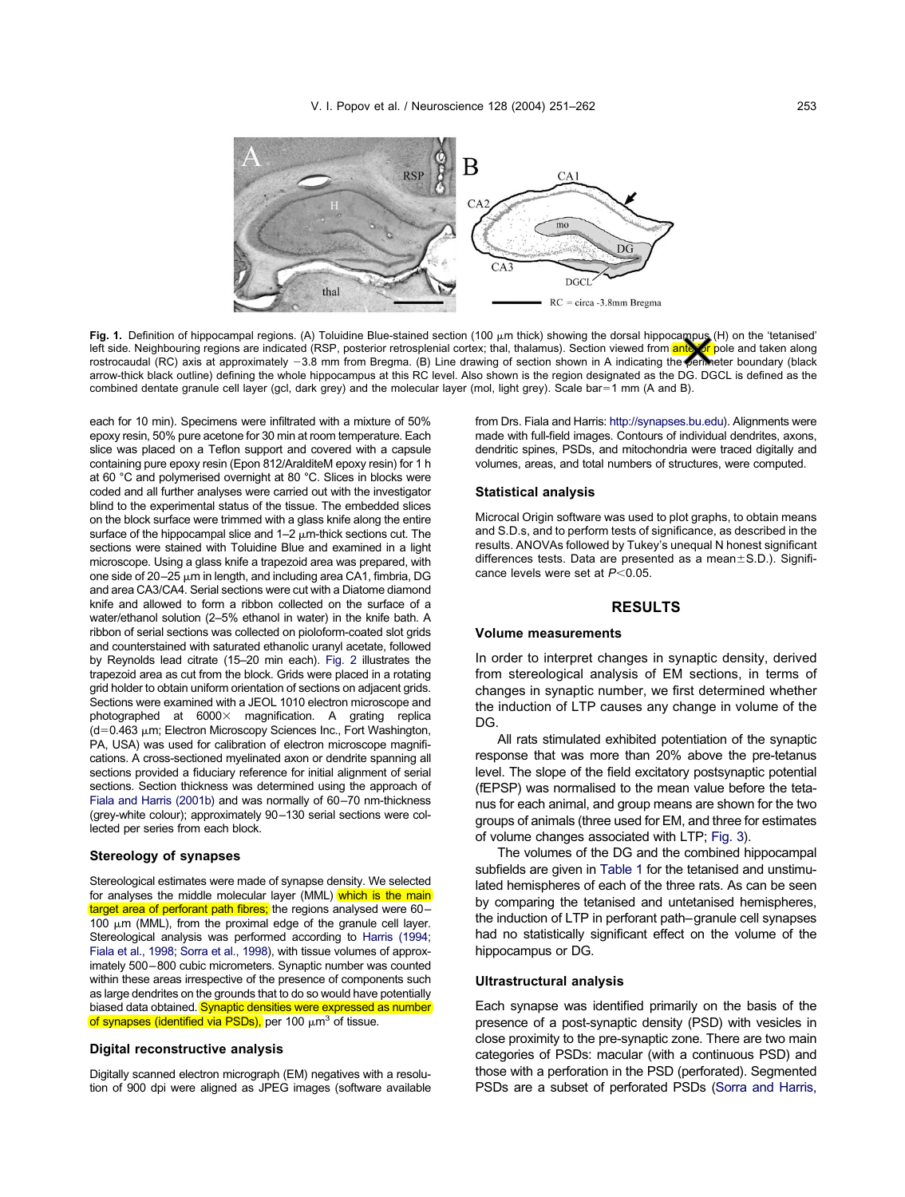<span id="page-2-0"></span>

Fig. 1. Definition of hippocampal regions. (A) Toluidine Blue-stained section (100 μm thick) showing the dorsal hippocampus (H) on the 'tetanised' left side. Neighbouring regions are indicated (RSP, posterior retrosplenial cortex; thal, thalamus). Section viewed from <mark>ante for</mark> pole and taken along rostrocaudal (RC) axis at approximately -3.8 mm from Bregma. (B) Line drawing of section shown in A indicating the perimeter boundary (black arrow-thick black outline) defining the whole hippocampus at this RC level. Also shown is the region designated as the DG. DGCL is defined as the combined dentate granule cell layer (gcl, dark grey) and the molecular layer (mol, light grey). Scale bar=1 mm (A and B).

each for 10 min). Specimens were infiltrated with a mixture of 50% epoxy resin, 50% pure acetone for 30 min at room temperature. Each slice was placed on a Teflon support and covered with a capsule containing pure epoxy resin (Epon 812/AralditeM epoxy resin) for 1 h at 60 °C and polymerised overnight at 80 °C. Slices in blocks were coded and all further analyses were carried out with the investigator blind to the experimental status of the tissue. The embedded slices on the block surface were trimmed with a glass knife along the entire surface of the hippocampal slice and  $1-2 \mu$ m-thick sections cut. The sections were stained with Toluidine Blue and examined in a light microscope. Using a glass knife a trapezoid area was prepared, with one side of 20 $-$ 25  $\mu$ m in length, and including area CA1, fimbria, DG and area CA3/CA4. Serial sections were cut with a Diatome diamond knife and allowed to form a ribbon collected on the surface of a water/ethanol solution (2–5% ethanol in water) in the knife bath. A ribbon of serial sections was collected on pioloform-coated slot grids and counterstained with saturated ethanolic uranyl acetate, followed by Reynolds lead citrate (15–20 min each). [Fig. 2](#page-3-0) illustrates the trapezoid area as cut from the block. Grids were placed in a rotating grid holder to obtain uniform orientation of sections on adjacent grids. Sections were examined with a JEOL 1010 electron microscope and photographed at  $6000 \times$  magnification. A grating replica  $(d=0.463 \mu m)$ ; Electron Microscopy Sciences Inc., Fort Washington, PA, USA) was used for calibration of electron microscope magnifications. A cross-sectioned myelinated axon or dendrite spanning all sections provided a fiduciary reference for initial alignment of serial sections. Section thickness was determined using the approach of [Fiala and Harris \(2001b\)](#page-10-0) and was normally of 60–70 nm-thickness (grey-white colour); approximately 90–130 serial sections were collected per series from each block.

## **Stereology of synapses**

Stereological estimates were made of synapse density. We selected for analyses the middle molecular layer (MML) which is the main target area of perforant path fibres; the regions analysed were 60-100  $\mu$ m (MML), from the proximal edge of the granule cell layer. Stereological analysis was performed according to [Harris \(1994;](#page-10-0) [Fiala et al., 1998;](#page-10-0) [Sorra et al., 1998\)](#page-11-0), with tissue volumes of approximately 500–800 cubic micrometers. Synaptic number was counted within these areas irrespective of the presence of components such as large dendrites on the grounds that to do so would have potentially biased data obtained. Synaptic densities were expressed as number of synapses (identified via PSDs), per 100  $\mu$ m<sup>3</sup> of tissue.

#### **Digital reconstructive analysis**

Digitally scanned electron micrograph (EM) negatives with a resolution of 900 dpi were aligned as JPEG images (software available from Drs. Fiala and Harris: [http://synapses.bu.edu\)](http://synapses.bu.edu/). Alignments were made with full-field images. Contours of individual dendrites, axons, dendritic spines, PSDs, and mitochondria were traced digitally and volumes, areas, and total numbers of structures, were computed.

### **Statistical analysis**

Microcal Origin software was used to plot graphs, to obtain means and S.D.s, and to perform tests of significance, as described in the results. ANOVAs followed by Tukey's unequal N honest significant differences tests. Data are presented as a mean $\pm$ S.D.). Significance levels were set at  $P<0.05$ .

# **RESULTS**

#### **Volume measurements**

In order to interpret changes in synaptic density, derived from stereological analysis of EM sections, in terms of changes in synaptic number, we first determined whether the induction of LTP causes any change in volume of the DG.

All rats stimulated exhibited potentiation of the synaptic response that was more than 20% above the pre-tetanus level. The slope of the field excitatory postsynaptic potential (fEPSP) was normalised to the mean value before the tetanus for each animal, and group means are shown for the two groups of animals (three used for EM, and three for estimates of volume changes associated with LTP; [Fig. 3\)](#page-4-0).

The volumes of the DG and the combined hippocampal subfields are given in [Table 1](#page-4-0) for the tetanised and unstimulated hemispheres of each of the three rats. As can be seen by comparing the tetanised and untetanised hemispheres, the induction of LTP in perforant path–granule cell synapses had no statistically significant effect on the volume of the hippocampus or DG.

## **Ultrastructural analysis**

Each synapse was identified primarily on the basis of the presence of a post-synaptic density (PSD) with vesicles in close proximity to the pre-synaptic zone. There are two main categories of PSDs: macular (with a continuous PSD) and those with a perforation in the PSD (perforated). Segmented PSDs are a subset of perforated PSDs (Sorra and Harris,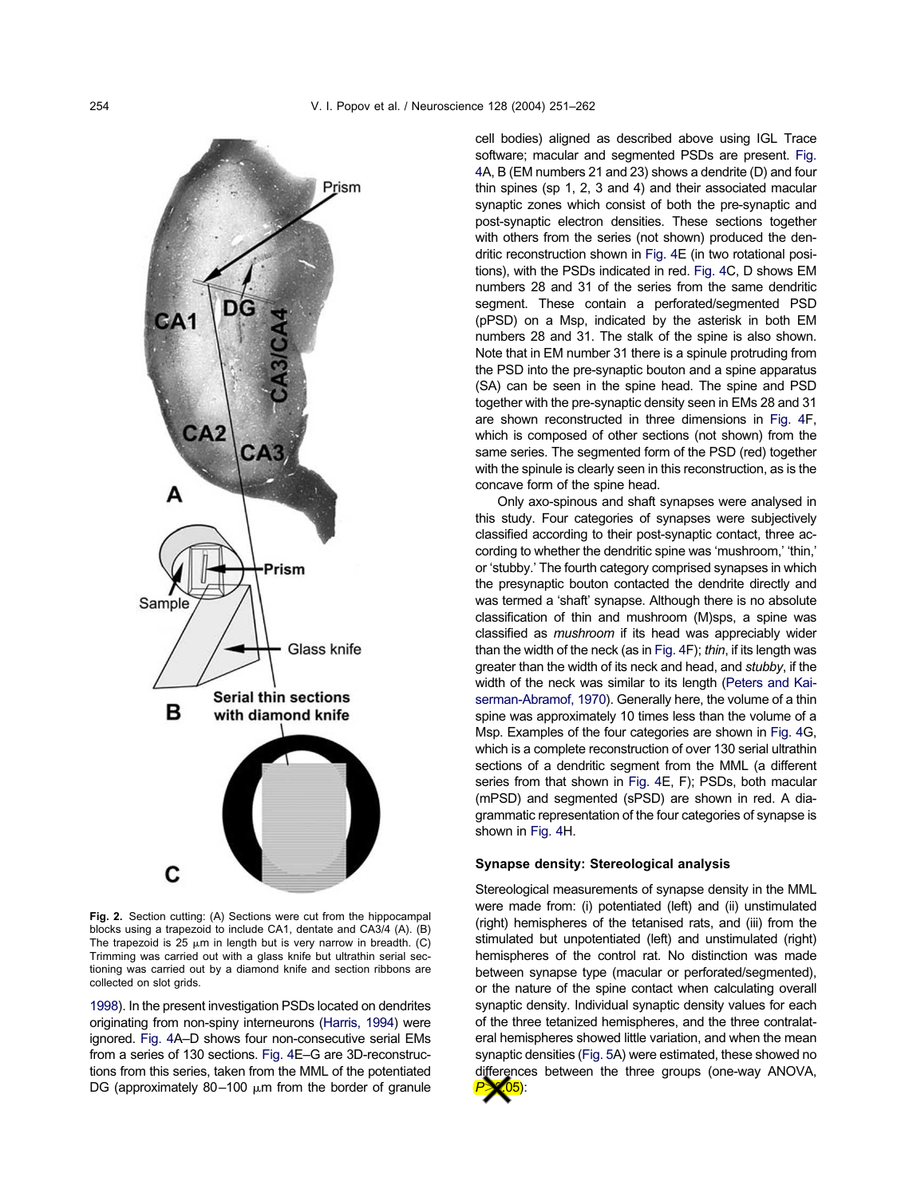<span id="page-3-0"></span>

**Fig. 2.** Section cutting: (A) Sections were cut from the hippocampal blocks using a trapezoid to include CA1, dentate and CA3/4 (A). (B) The trapezoid is 25  $\mu$ m in length but is very narrow in breadth. (C) Trimming was carried out with a glass knife but ultrathin serial sectioning was carried out by a diamond knife and section ribbons are collected on slot grids.

[1998\)](#page-11-0). In the present investigation PSDs located on dendrites originating from non-spiny interneurons [\(Harris, 1994\)](#page-10-0) were ignored. [Fig. 4A](#page-5-0)–D shows four non-consecutive serial EMs from a series of 130 sections. [Fig. 4E](#page-5-0)–G are 3D-reconstructions from this series, taken from the MML of the potentiated DG (approximately 80-100  $\mu$ m from the border of granule

cell bodies) aligned as described above using IGL Trace software; macular and segmented PSDs are present. [Fig.](#page-5-0) [4A](#page-5-0), B (EM numbers 21 and 23) shows a dendrite (D) and four thin spines (sp 1, 2, 3 and 4) and their associated macular synaptic zones which consist of both the pre-synaptic and post-synaptic electron densities. These sections together with others from the series (not shown) produced the dendritic reconstruction shown in [Fig. 4E](#page-5-0) (in two rotational positions), with the PSDs indicated in red. [Fig. 4C](#page-5-0), D shows EM numbers 28 and 31 of the series from the same dendritic segment. These contain a perforated/segmented PSD (pPSD) on a Msp, indicated by the asterisk in both EM numbers 28 and 31. The stalk of the spine is also shown. Note that in EM number 31 there is a spinule protruding from the PSD into the pre-synaptic bouton and a spine apparatus (SA) can be seen in the spine head. The spine and PSD together with the pre-synaptic density seen in EMs 28 and 31 are shown reconstructed in three dimensions in [Fig. 4F](#page-5-0), which is composed of other sections (not shown) from the same series. The segmented form of the PSD (red) together with the spinule is clearly seen in this reconstruction, as is the concave form of the spine head.

Only axo-spinous and shaft synapses were analysed in this study. Four categories of synapses were subjectively classified according to their post-synaptic contact, three according to whether the dendritic spine was 'mushroom,' 'thin,' or 'stubby.' The fourth category comprised synapses in which the presynaptic bouton contacted the dendrite directly and was termed a 'shaft' synapse. Although there is no absolute classification of thin and mushroom (M)sps, a spine was classified as *mushroom* if its head was appreciably wider than the width of the neck (as in [Fig. 4F](#page-5-0)); *thin*, if its length was greater than the width of its neck and head, and *stubby*, if the width of the neck was similar to its length [\(Peters and Kai](#page-11-0)[serman-Abramof, 1970\)](#page-11-0). Generally here, the volume of a thin spine was approximately 10 times less than the volume of a Msp. Examples of the four categories are shown in [Fig. 4G](#page-5-0), which is a complete reconstruction of over 130 serial ultrathin sections of a dendritic segment from the MML (a different series from that shown in [Fig. 4E](#page-5-0), F); PSDs, both macular (mPSD) and segmented (sPSD) are shown in red. A diagrammatic representation of the four categories of synapse is shown in [Fig. 4H](#page-5-0).

# **Synapse density: Stereological analysis**

Stereological measurements of synapse density in the MML were made from: (i) potentiated (left) and (ii) unstimulated (right) hemispheres of the tetanised rats, and (iii) from the stimulated but unpotentiated (left) and unstimulated (right) hemispheres of the control rat. No distinction was made between synapse type (macular or perforated/segmented), or the nature of the spine contact when calculating overall synaptic density. Individual synaptic density values for each of the three tetanized hemispheres, and the three contralateral hemispheres showed little variation, and when the mean synaptic densities [\(Fig. 5A](#page-6-0)) were estimated, these showed no differences between the three groups (one-way ANOVA, *P*0.05):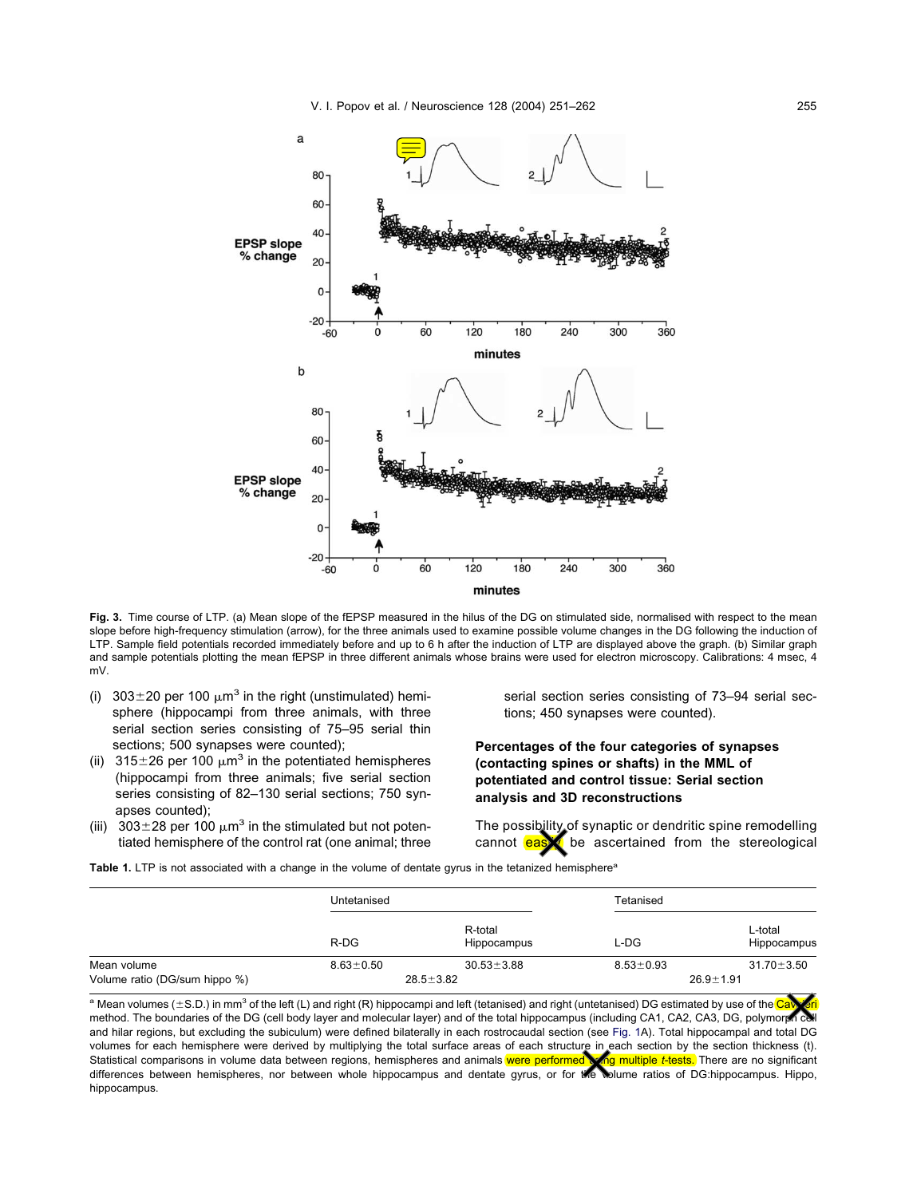<span id="page-4-0"></span>

**Fig. 3.** Time course of LTP. (a) Mean slope of the fEPSP measured in the hilus of the DG on stimulated side, normalised with respect to the mean slope before high-frequency stimulation (arrow), for the three animals used to examine possible volume changes in the DG following the induction of LTP. Sample field potentials recorded immediately before and up to 6 h after the induction of LTP are displayed above the graph. (b) Similar graph and sample potentials plotting the mean fEPSP in three different animals whose brains were used for electron microscopy. Calibrations: 4 msec, 4 mV.

- (i)  $303 \pm 20$  per 100  $\mu$ m<sup>3</sup> in the right (unstimulated) hemisphere (hippocampi from three animals, with three serial section series consisting of 75–95 serial thin sections; 500 synapses were counted);
- (ii) 315 $\pm$ 26 per 100  $\mu$ m<sup>3</sup> in the potentiated hemispheres (hippocampi from three animals; five serial section series consisting of 82–130 serial sections; 750 synapses counted);
- (iii)  $303 \pm 28$  per 100  $\mu$ m<sup>3</sup> in the stimulated but not potentiated hemisphere of the control rat (one animal; three

serial section series consisting of 73–94 serial sections; 450 synapses were counted).

**Percentages of the four categories of synapses (contacting spines or shafts) in the MML of potentiated and control tissue: Serial section analysis and 3D reconstructions**

The possibility of synaptic or dendritic spine remodelling cannot  $e$ as $\blacktriangleright$  be ascertained from the stereological

Table 1. LTP is not associated with a change in the volume of dentate gyrus in the tetanized hemisphere<sup>®</sup>

|                               | Untetanised     |                        | Tetanised       |                        |
|-------------------------------|-----------------|------------------------|-----------------|------------------------|
|                               | $R-DG$          | R-total<br>Hippocampus | L-DG            | L-total<br>Hippocampus |
| Mean volume                   | $8.63 \pm 0.50$ | $30.53 \pm 3.88$       | $8.53 \pm 0.93$ | $31.70 \pm 3.50$       |
| Volume ratio (DG/sum hippo %) | $28.5 \pm 3.82$ |                        | $26.9 \pm 1.91$ |                        |

a Mean volumes (±S.D.) in mm<sup>3</sup> of the left (L) and right (R) hippocampi and left (tetanised) and right (untetanised) DG estimated by use of the C method. The boundaries of the DG (cell body layer and molecular layer) and of the total hippocampus (including CA1, CA2, CA3, DG, polymorph cell and hilar regions, but excluding the subiculum) were defined bilaterally in each rostrocaudal section (see [Fig. 1A](#page-2-0)). Total hippocampal and total DG volumes for each hemisphere were derived by multiplying the total surface areas of each structure in each section by the section thickness (t). Statistical comparisons in volume data between regions, hemispheres and animals were performed wing multiple *t*-tests. There are no significant differences between hemispheres, nor between whole hippocampus and dentate gyrus, or for the volume ratios of DG:hippocampus. Hippo, hippocampus.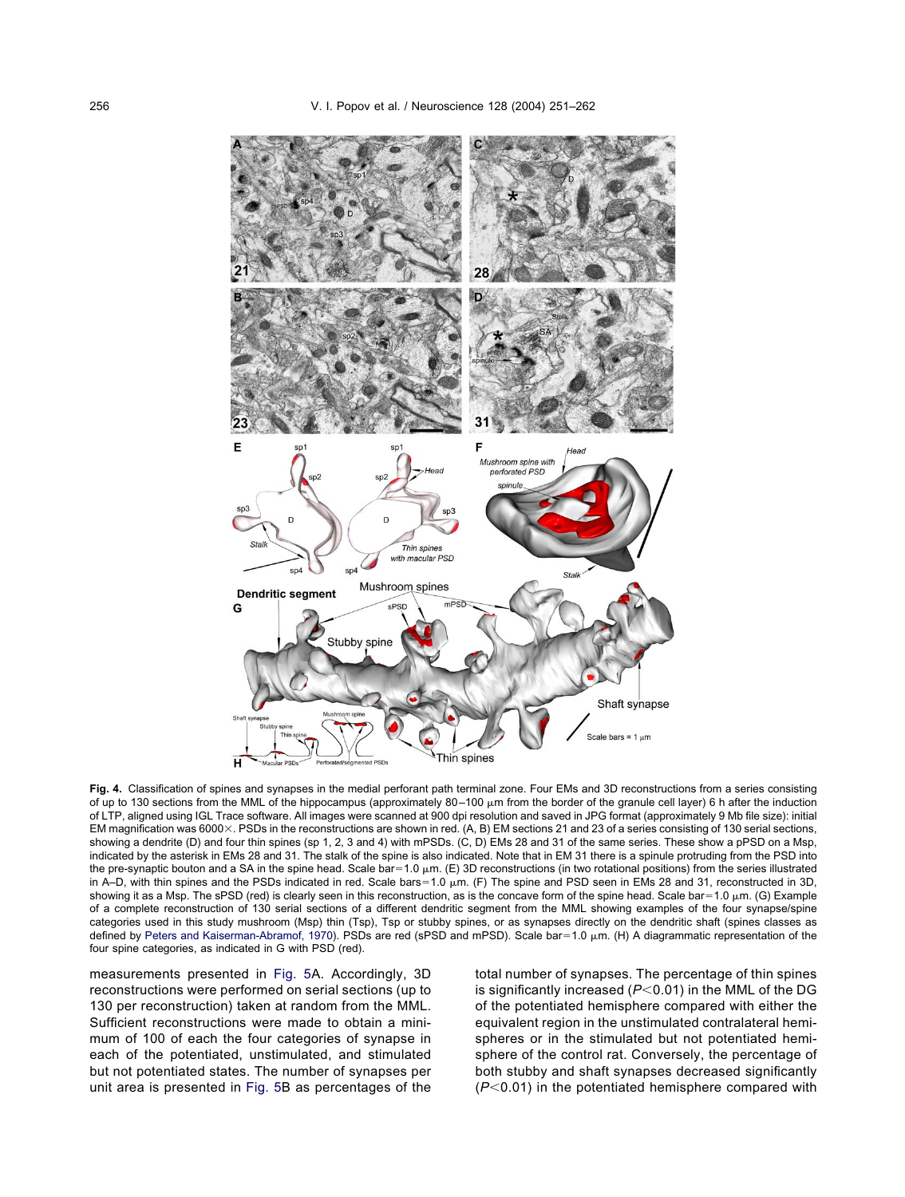<span id="page-5-0"></span>

**Fig. 4.** Classification of spines and synapses in the medial perforant path terminal zone. Four EMs and 3D reconstructions from a series consisting of up to 130 sections from the MML of the hippocampus (approximately 80–100 µm from the border of the granule cell layer) 6 h after the induction of LTP, aligned using IGL Trace software. All images were scanned at 900 dpi resolution and saved in JPG format (approximately 9 Mb file size): initial EM magnification was 6000 $\times$ . PSDs in the reconstructions are shown in red. (A, B) EM sections 21 and 23 of a series consisting of 130 serial sections, showing a dendrite (D) and four thin spines (sp 1, 2, 3 and 4) with mPSDs. (C, D) EMs 28 and 31 of the same series. These show a pPSD on a Msp, indicated by the asterisk in EMs 28 and 31. The stalk of the spine is also indicated. Note that in EM 31 there is a spinule protruding from the PSD into the pre-synaptic bouton and a SA in the spine head. Scale bar=1.0  $\mu$ m. (E) 3D reconstructions (in two rotational positions) from the series illustrated in A–D, with thin spines and the PSDs indicated in red. Scale bars=1.0  $\mu$ m. (F) The spine and PSD seen in EMs 28 and 31, reconstructed in 3D, showing it as a Msp. The sPSD (red) is clearly seen in this reconstruction, as is the concave form of the spine head. Scale bar=1.0  $\mu$ m. (G) Example of a complete reconstruction of 130 serial sections of a different dendritic segment from the MML showing examples of the four synapse/spine categories used in this study mushroom (Msp) thin (Tsp), Tsp or stubby spines, or as synapses directly on the dendritic shaft (spines classes as defined by [Peters and Kaiserman-Abramof, 1970\)](#page-11-0). PSDs are red (sPSD and mPSD). Scale bar=1.0 µm. (H) A diagrammatic representation of the four spine categories, as indicated in G with PSD (red).

measurements presented in [Fig. 5A](#page-6-0). Accordingly, 3D reconstructions were performed on serial sections (up to 130 per reconstruction) taken at random from the MML. Sufficient reconstructions were made to obtain a minimum of 100 of each the four categories of synapse in each of the potentiated, unstimulated, and stimulated but not potentiated states. The number of synapses per unit area is presented in [Fig. 5B](#page-6-0) as percentages of the

total number of synapses. The percentage of thin spines is significantly increased  $(P<0.01)$  in the MML of the DG of the potentiated hemisphere compared with either the equivalent region in the unstimulated contralateral hemispheres or in the stimulated but not potentiated hemisphere of the control rat. Conversely, the percentage of both stubby and shaft synapses decreased significantly  $(P<0.01)$  in the potentiated hemisphere compared with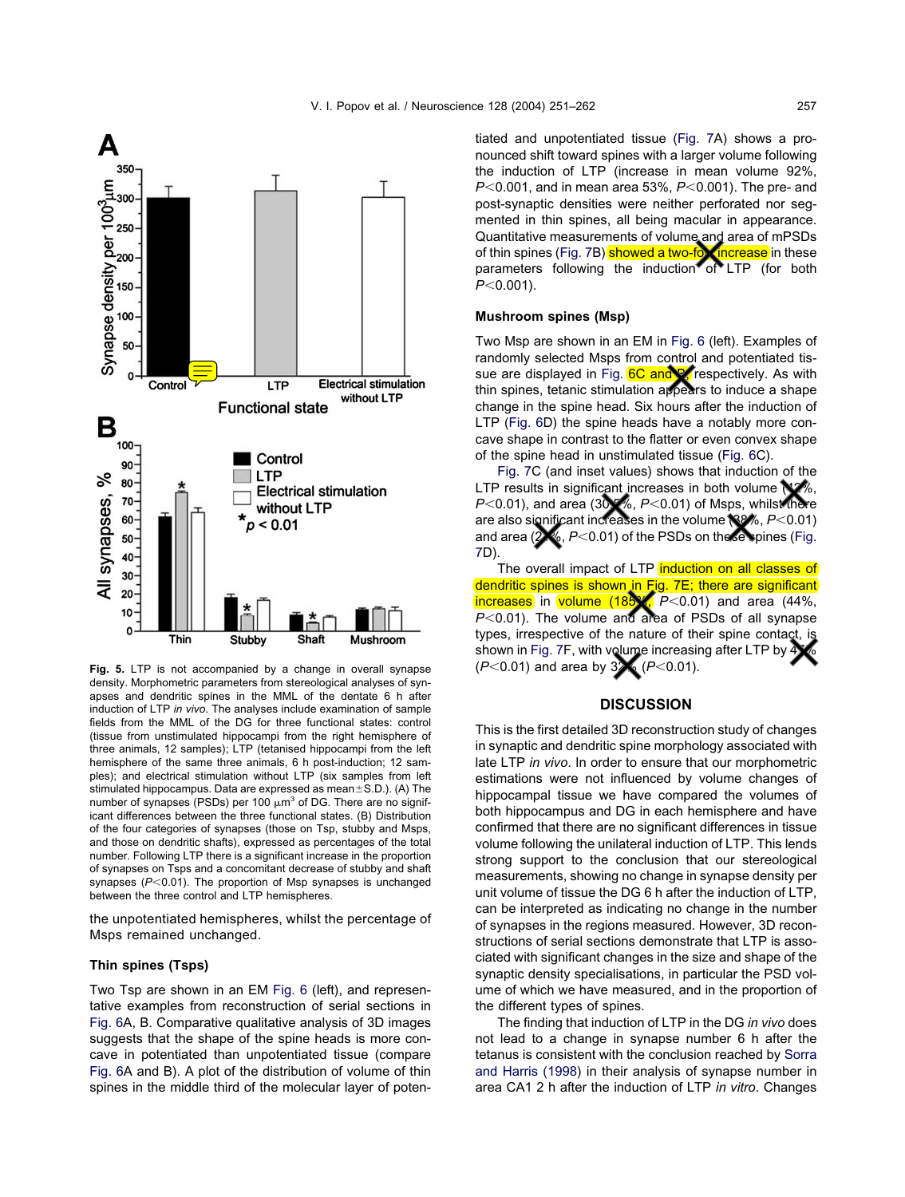<span id="page-6-0"></span>

**Fig. 5.** LTP is not accompanied by a change in overall synapse density. Morphometric parameters from stereological analyses of synapses and dendritic spines in the MML of the dentate 6 h after induction of LTP *in vivo*. The analyses include examination of sample fields from the MML of the DG for three functional states: control (tissue from unstimulated hippocampi from the right hemisphere of three animals, 12 samples); LTP (tetanised hippocampi from the left hemisphere of the same three animals, 6 h post-induction; 12 samples); and electrical stimulation without LTP (six samples from left stimulated hippocampus. Data are expressed as mean $\pm$ S.D.). (A) The number of synapses (PSDs) per 100  $\mu$ m<sup>3</sup> of DG. There are no significant differences between the three functional states. (B) Distribution of the four categories of synapses (those on Tsp, stubby and Msps, and those on dendritic shafts), expressed as percentages of the total number. Following LTP there is a significant increase in the proportion of synapses on Tsps and a concomitant decrease of stubby and shaft synapses (P<0.01). The proportion of Msp synapses is unchanged between the three control and LTP hemispheres.

the unpotentiated hemispheres, whilst the percentage of Msps remained unchanged.

## **Thin spines (Tsps)**

Two Tsp are shown in an EM [Fig. 6](#page-7-0) (left), and representative examples from reconstruction of serial sections in [Fig. 6A](#page-7-0), B. Comparative qualitative analysis of 3D images suggests that the shape of the spine heads is more concave in potentiated than unpotentiated tissue (compare [Fig. 6A](#page-7-0) and B). A plot of the distribution of volume of thin spines in the middle third of the molecular layer of potentiated and unpotentiated tissue [\(Fig. 7A](#page-8-0)) shows a pronounced shift toward spines with a larger volume following the induction of LTP (increase in mean volume 92%, *P*<0.001, and in mean area 53%, *P*<0.001). The pre- and post-synaptic densities were neither perforated nor segmented in thin spines, all being macular in appearance. Quantitative measurements of volume and area of mPSDs of thin spines [\(Fig. 7B](#page-8-0)) <mark>showed a two-fox increase</mark> in these parameters following the induction<sup>\*</sup> of LTP (for both *P*<0.001).

#### **Mushroom spines (Msp)**

Two Msp are shown in an EM in [Fig. 6](#page-7-0) (left). Examples of randomly selected Msps from control and potentiated tis-sue are displayed in [Fig. 6C](#page-7-0) and B, respectively. As with thin spines, tetanic stimulation appears to induce a shape change in the spine head. Six hours after the induction of LTP [\(Fig. 6D](#page-7-0)) the spine heads have a notably more concave shape in contrast to the flatter or even convex shape of the spine head in unstimulated tissue [\(Fig. 6C](#page-7-0)).

[Fig. 7C](#page-8-0) (and inset values) shows that induction of the LTP results in significant increases in both volume (V%, *P*<0.01), and area (30.5%, *P*<0.01) of Msps, whilst there are also significant increases in the volume (38%, P<0.01) and area  $(2)$ %,  $P<0.01$ ) of the PSDs on these spines [\(Fig.](#page-8-0) [7D](#page-8-0)).

The overall impact of LTP induction on all classes of dendritic spines is shown in [Fig. 7E](#page-8-0); there are significant  $line$  reases in volume (185 $\chi$ ,  $P$ <0.01) and area (44%,  $P<0.01$ ). The volume and area of PSDs of all synapse types, irrespective of the nature of their spine contact, is shown in [Fig. 7F](#page-8-0), with volume increasing after LTP by  $\overline{4}$  $(P<0.01)$  and area by  $3\sqrt{(P<0.01)}$ .

# **DISCUSSION**

This is the first detailed 3D reconstruction study of changes in synaptic and dendritic spine morphology associated with late LTP *in vivo*. In order to ensure that our morphometric estimations were not influenced by volume changes of hippocampal tissue we have compared the volumes of both hippocampus and DG in each hemisphere and have confirmed that there are no significant differences in tissue volume following the unilateral induction of LTP. This lends strong support to the conclusion that our stereological measurements, showing no change in synapse density per unit volume of tissue the DG 6 h after the induction of LTP, can be interpreted as indicating no change in the number of synapses in the regions measured. However, 3D reconstructions of serial sections demonstrate that LTP is associated with significant changes in the size and shape of the synaptic density specialisations, in particular the PSD volume of which we have measured, and in the proportion of the different types of spines.

The finding that induction of LTP in the DG *in vivo* does not lead to a change in synapse number 6 h after the tetanus is consistent with the conclusion reached by [Sorra](#page-11-0) [and Harris \(1998\)](#page-11-0) in their analysis of synapse number in area CA1 2 h after the induction of LTP *in vitro*. Changes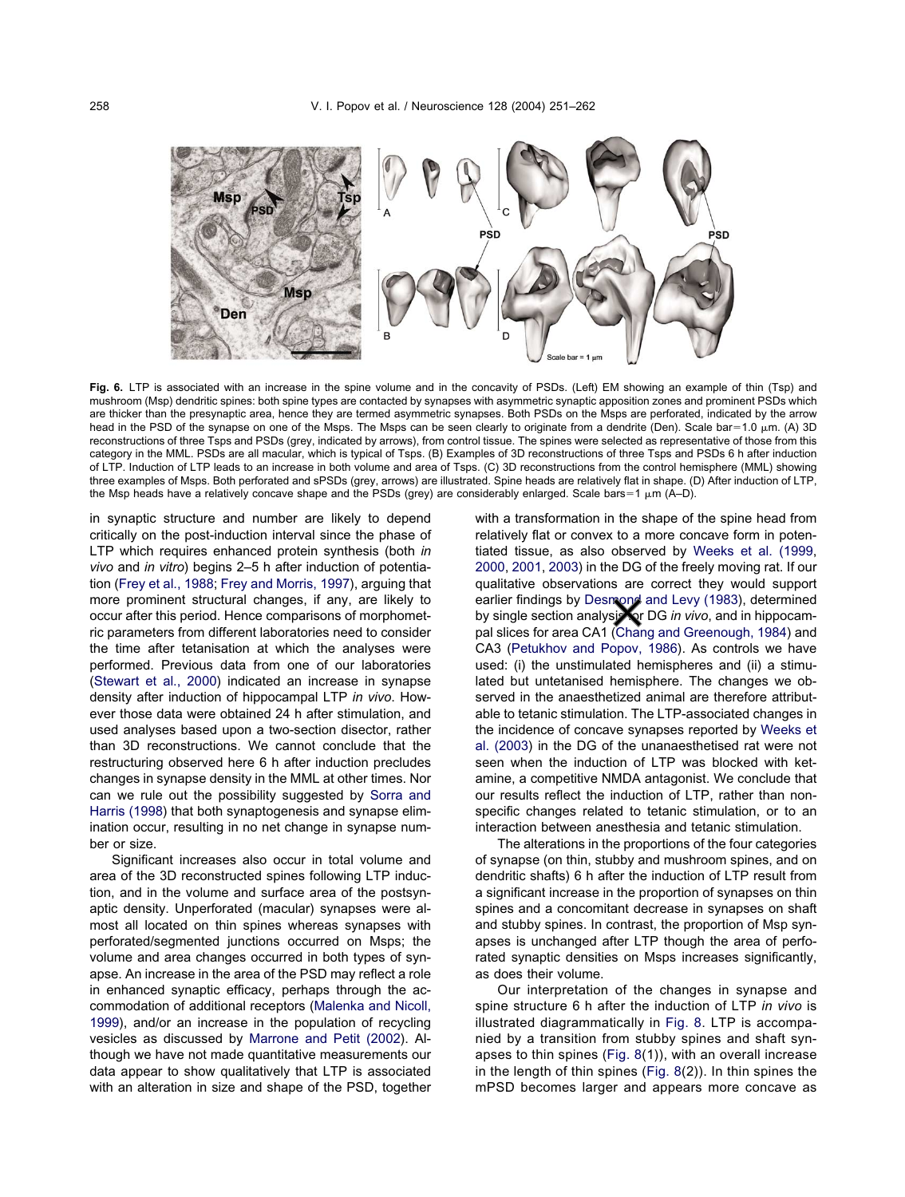<span id="page-7-0"></span>

**Fig. 6.** LTP is associated with an increase in the spine volume and in the concavity of PSDs. (Left) EM showing an example of thin (Tsp) and mushroom (Msp) dendritic spines: both spine types are contacted by synapses with asymmetric synaptic apposition zones and prominent PSDs which are thicker than the presynaptic area, hence they are termed asymmetric synapses. Both PSDs on the Msps are perforated, indicated by the arrow head in the PSD of the synapse on one of the Msps. The Msps can be seen clearly to originate from a dendrite (Den). Scale bar=1.0 μm. (A) 3D reconstructions of three Tsps and PSDs (grey, indicated by arrows), from control tissue. The spines were selected as representative of those from this category in the MML. PSDs are all macular, which is typical of Tsps. (B) Examples of 3D reconstructions of three Tsps and PSDs 6 h after induction of LTP. Induction of LTP leads to an increase in both volume and area of Tsps. (C) 3D reconstructions from the control hemisphere (MML) showing three examples of Msps. Both perforated and sPSDs (grey, arrows) are illustrated. Spine heads are relatively flat in shape. (D) After induction of LTP, the Msp heads have a relatively concave shape and the PSDs (grey) are considerably enlarged. Scale bars=1  $\mu$ m (A–D).

in synaptic structure and number are likely to depend critically on the post-induction interval since the phase of LTP which requires enhanced protein synthesis (both *in vivo* and *in vitro*) begins 2–5 h after induction of potentiation [\(Frey et al., 1988;](#page-10-0) [Frey and Morris, 1997\)](#page-10-0), arguing that more prominent structural changes, if any, are likely to occur after this period. Hence comparisons of morphometric parameters from different laboratories need to consider the time after tetanisation at which the analyses were performed. Previous data from one of our laboratories [\(Stewart et al., 2000\)](#page-11-0) indicated an increase in synapse density after induction of hippocampal LTP *in vivo*. However those data were obtained 24 h after stimulation, and used analyses based upon a two-section disector, rather than 3D reconstructions. We cannot conclude that the restructuring observed here 6 h after induction precludes changes in synapse density in the MML at other times. Nor can we rule out the possibility suggested by [Sorra and](#page-11-0) [Harris \(1998\)](#page-11-0) that both synaptogenesis and synapse elimination occur, resulting in no net change in synapse number or size.

Significant increases also occur in total volume and area of the 3D reconstructed spines following LTP induction, and in the volume and surface area of the postsynaptic density. Unperforated (macular) synapses were almost all located on thin spines whereas synapses with perforated/segmented junctions occurred on Msps; the volume and area changes occurred in both types of synapse. An increase in the area of the PSD may reflect a role in enhanced synaptic efficacy, perhaps through the accommodation of additional receptors [\(Malenka and Nicoll,](#page-11-0) [1999\)](#page-11-0), and/or an increase in the population of recycling vesicles as discussed by [Marrone and Petit \(2002\)](#page-11-0). Although we have not made quantitative measurements our data appear to show qualitatively that LTP is associated with an alteration in size and shape of the PSD, together with a transformation in the shape of the spine head from relatively flat or convex to a more concave form in potentiated tissue, as also observed by [Weeks et al. \(1999,](#page-11-0) [2000,](#page-11-0) [2001,](#page-11-0) [2003\)](#page-11-0) in the DG of the freely moving rat. If our qualitative observations are correct they would support earlier findings by [Desmond and Levy \(1983\)](#page-10-0), determined by single section analysistor DG *in vivo*, and in hippocampal slices for area CA1 [\(Chang and Greenough, 1984\)](#page-10-0) and CA3 [\(Petukhov and Popov, 1986\)](#page-11-0). As controls we have used: (i) the unstimulated hemispheres and (ii) a stimulated but untetanised hemisphere. The changes we observed in the anaesthetized animal are therefore attributable to tetanic stimulation. The LTP-associated changes in the incidence of concave synapses reported by [Weeks et](#page-11-0) [al. \(2003\)](#page-11-0) in the DG of the unanaesthetised rat were not seen when the induction of LTP was blocked with ketamine, a competitive NMDA antagonist. We conclude that our results reflect the induction of LTP, rather than nonspecific changes related to tetanic stimulation, or to an interaction between anesthesia and tetanic stimulation.

The alterations in the proportions of the four categories of synapse (on thin, stubby and mushroom spines, and on dendritic shafts) 6 h after the induction of LTP result from a significant increase in the proportion of synapses on thin spines and a concomitant decrease in synapses on shaft and stubby spines. In contrast, the proportion of Msp synapses is unchanged after LTP though the area of perforated synaptic densities on Msps increases significantly, as does their volume.

Our interpretation of the changes in synapse and spine structure 6 h after the induction of LTP *in vivo* is illustrated diagrammatically in [Fig. 8.](#page-9-0) LTP is accompanied by a transition from stubby spines and shaft synapses to thin spines [\(Fig. 8\(](#page-9-0)1)), with an overall increase in the length of thin spines [\(Fig. 8\(](#page-9-0)2)). In thin spines the mPSD becomes larger and appears more concave as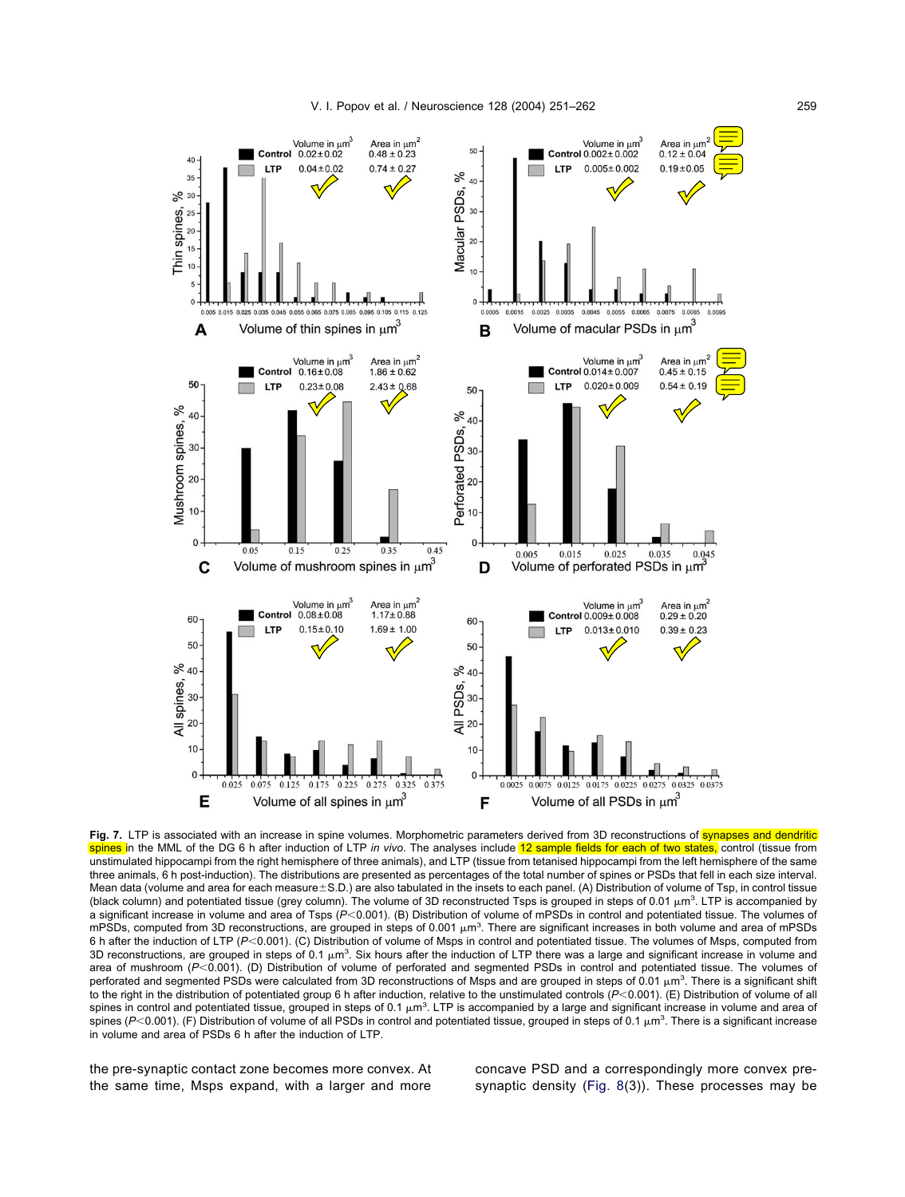<span id="page-8-0"></span>

Fig. 7. LTP is associated with an increase in spine volumes. Morphometric parameters derived from 3D reconstructions of synapses and dendritic spines in the MML of the DG 6 h after induction of LTP *in vivo*. The analyses include 12 sample fields for each of two states, control (tissue from unstimulated hippocampi from the right hemisphere of three animals), and LTP (tissue from tetanised hippocampi from the left hemisphere of the same three animals, 6 h post-induction). The distributions are presented as percentages of the total number of spines or PSDs that fell in each size interval. Mean data (volume and area for each measure $\pm$ S.D.) are also tabulated in the insets to each panel. (A) Distribution of volume of Tsp, in control tissue (black column) and potentiated tissue (grey column). The volume of 3D reconstructed Tsps is grouped in steps of 0.01  $\mu$ m<sup>3</sup>. LTP is accompanied by a significant increase in volume and area of Tsps (P<0.001). (B) Distribution of volume of mPSDs in control and potentiated tissue. The volumes of mPSDs, computed from 3D reconstructions, are grouped in steps of 0.001  $\mu$ m<sup>3</sup>. There are significant increases in both volume and area of mPSDs 6 h after the induction of LTP (P<0.001). (C) Distribution of volume of Msps in control and potentiated tissue. The volumes of Msps, computed from 3D reconstructions, are grouped in steps of 0.1  $\mu$ m<sup>3</sup>. Six hours after the induction of LTP there was a large and significant increase in volume and area of mushroom (P<0.001). (D) Distribution of volume of perforated and segmented PSDs in control and potentiated tissue. The volumes of perforated and segmented PSDs were calculated from 3D reconstructions of Msps and are grouped in steps of 0.01  $\mu$ m<sup>3</sup>. There is a significant shift to the right in the distribution of potentiated group 6 h after induction, relative to the unstimulated controls (P<0.001). (E) Distribution of volume of all spines in control and potentiated tissue, grouped in steps of 0.1  $\mu$ m<sup>3</sup>. LTP is accompanied by a large and significant increase in volume and area of spines (P<0.001). (F) Distribution of volume of all PSDs in control and potentiated tissue, grouped in steps of 0.1  $\mu$ m<sup>3</sup>. There is a significant increase in volume and area of PSDs 6 h after the induction of LTP.

the pre-synaptic contact zone becomes more convex. At the same time, Msps expand, with a larger and more

concave PSD and a correspondingly more convex presynaptic density [\(Fig. 8\(](#page-9-0)3)). These processes may be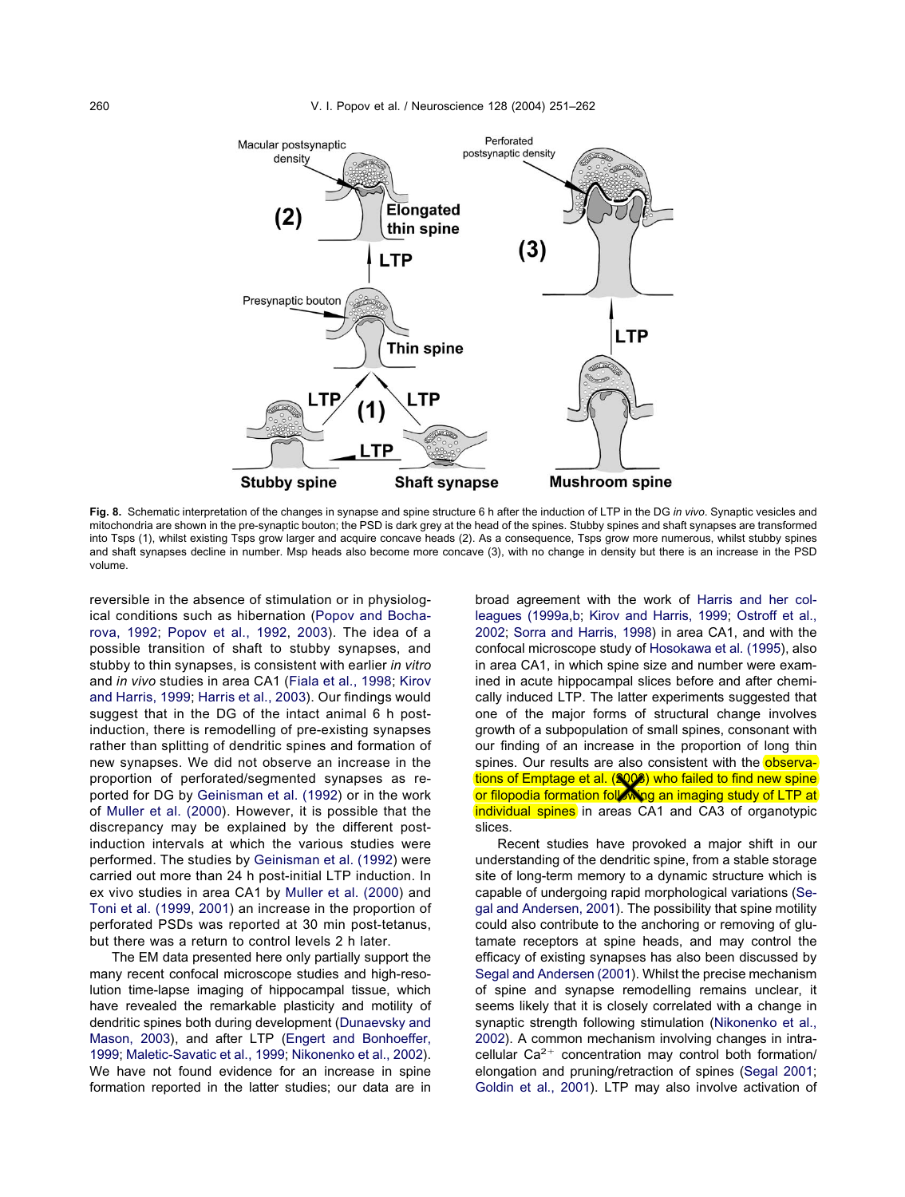<span id="page-9-0"></span>

**Fig. 8.** Schematic interpretation of the changes in synapse and spine structure 6 h after the induction of LTP in the DG *in vivo*. Synaptic vesicles and mitochondria are shown in the pre-synaptic bouton; the PSD is dark grey at the head of the spines. Stubby spines and shaft synapses are transformed into Tsps (1), whilst existing Tsps grow larger and acquire concave heads (2). As a consequence, Tsps grow more numerous, whilst stubby spines and shaft synapses decline in number. Msp heads also become more concave (3), with no change in density but there is an increase in the PSD volume.

reversible in the absence of stimulation or in physiological conditions such as hibernation [\(Popov and Bocha](#page-11-0)[rova, 1992;](#page-11-0) [Popov et al., 1992,](#page-11-0) [2003\)](#page-11-0). The idea of a possible transition of shaft to stubby synapses, and stubby to thin synapses, is consistent with earlier *in vitro* and *in vivo* studies in area CA1 [\(Fiala et al., 1998;](#page-10-0) [Kirov](#page-11-0) [and Harris, 1999;](#page-11-0) [Harris et al., 2003\)](#page-11-0). Our findings would suggest that in the DG of the intact animal 6 h postinduction, there is remodelling of pre-existing synapses rather than splitting of dendritic spines and formation of new synapses. We did not observe an increase in the proportion of perforated/segmented synapses as reported for DG by [Geinisman et al. \(1992\)](#page-10-0) or in the work of [Muller et al. \(2000\)](#page-11-0). However, it is possible that the discrepancy may be explained by the different postinduction intervals at which the various studies were performed. The studies by [Geinisman et al. \(1992\)](#page-10-0) were carried out more than 24 h post-initial LTP induction. In ex vivo studies in area CA1 by [Muller et al. \(2000\)](#page-11-0) and [Toni et al. \(1999,](#page-11-0) [2001\)](#page-11-0) an increase in the proportion of perforated PSDs was reported at 30 min post-tetanus, but there was a return to control levels 2 h later.

The EM data presented here only partially support the many recent confocal microscope studies and high-resolution time-lapse imaging of hippocampal tissue, which have revealed the remarkable plasticity and motility of dendritic spines both during development [\(Dunaevsky and](#page-10-0) [Mason, 2003\)](#page-10-0), and after LTP [\(Engert and Bonhoeffer,](#page-10-0) [1999;](#page-10-0) [Maletic-Savatic et al., 1999;](#page-11-0) [Nikonenko et al., 2002\)](#page-11-0). We have not found evidence for an increase in spine formation reported in the latter studies; our data are in

broad agreement with the work of [Harris and her col](#page-10-0)[leagues \(1999a,b;](#page-10-0) [Kirov and Harris, 1999;](#page-11-0) [Ostroff et al.,](#page-11-0) [2002;](#page-11-0) [Sorra and Harris, 1998\)](#page-11-0) in area CA1, and with the confocal microscope study of [Hosokawa et al. \(1995\)](#page-11-0), also in area CA1, in which spine size and number were examined in acute hippocampal slices before and after chemically induced LTP. The latter experiments suggested that one of the major forms of structural change involves growth of a subpopulation of small spines, consonant with our finding of an increase in the proportion of long thin spines. Our results are also consistent with the observations of Emptage et al. (2006) who failed to find new spine or filopodia formation following an imaging study of LTP at individual spines in areas CA1 and CA3 of organotypic slices.

Recent studies have provoked a major shift in our understanding of the dendritic spine, from a stable storage site of long-term memory to a dynamic structure which is capable of undergoing rapid morphological variations [\(Se](#page-11-0)[gal and Andersen, 2001\)](#page-11-0). The possibility that spine motility could also contribute to the anchoring or removing of glutamate receptors at spine heads, and may control the efficacy of existing synapses has also been discussed by [Segal and Andersen \(2001\)](#page-11-0). Whilst the precise mechanism of spine and synapse remodelling remains unclear, it seems likely that it is closely correlated with a change in synaptic strength following stimulation [\(Nikonenko et al.,](#page-11-0) [2002\)](#page-11-0). A common mechanism involving changes in intracellular  $Ca^{2+}$  concentration may control both formation/ elongation and pruning/retraction of spines [\(Segal 2001;](#page-11-0) [Goldin et al., 2001\)](#page-10-0). LTP may also involve activation of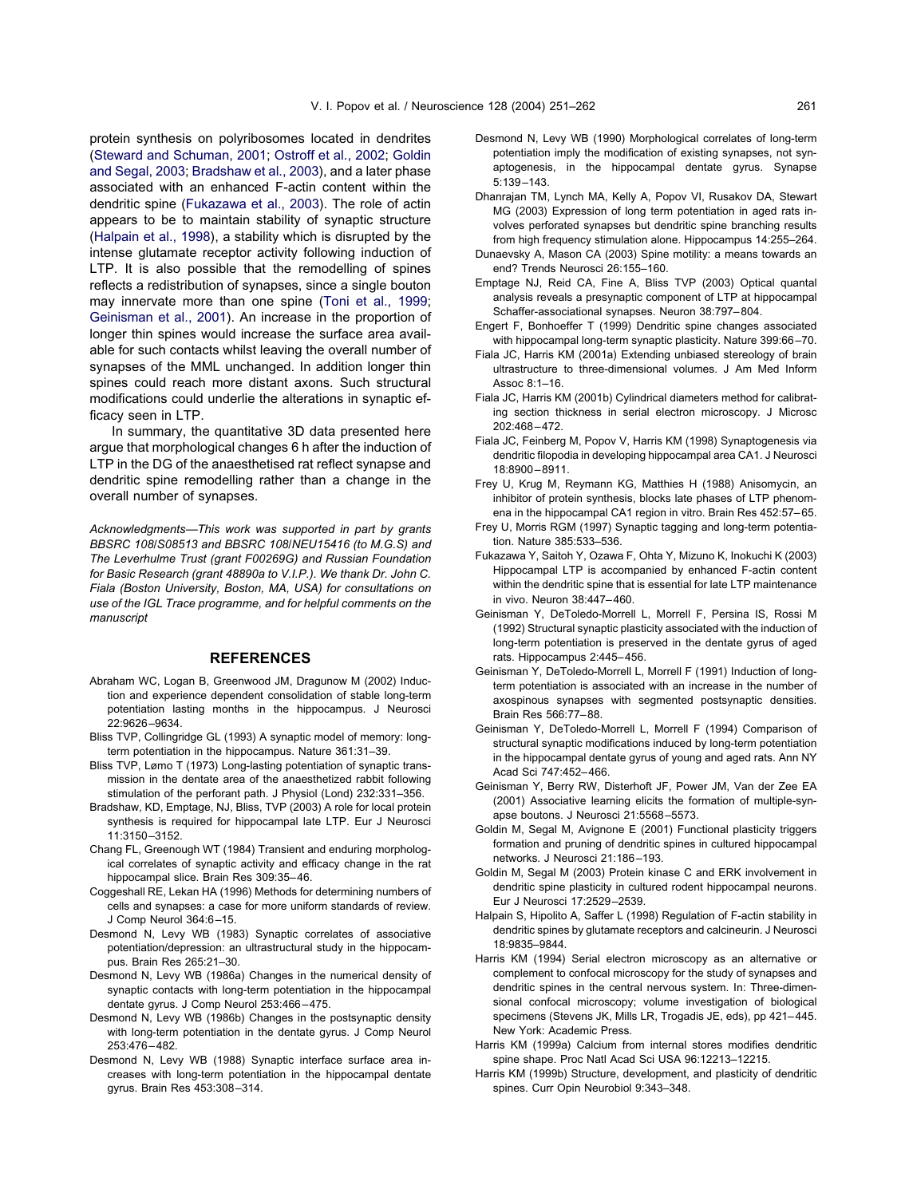<span id="page-10-0"></span>protein synthesis on polyribosomes located in dendrites [\(Steward and Schuman, 2001;](#page-11-0) [Ostroff et al., 2002;](#page-11-0) Goldin and Segal, 2003; Bradshaw et al., 2003), and a later phase associated with an enhanced F-actin content within the dendritic spine (Fukazawa et al., 2003). The role of actin appears to be to maintain stability of synaptic structure (Halpain et al., 1998), a stability which is disrupted by the intense glutamate receptor activity following induction of LTP. It is also possible that the remodelling of spines reflects a redistribution of synapses, since a single bouton may innervate more than one spine [\(Toni et al., 1999;](#page-11-0) Geinisman et al., 2001). An increase in the proportion of longer thin spines would increase the surface area available for such contacts whilst leaving the overall number of synapses of the MML unchanged. In addition longer thin spines could reach more distant axons. Such structural modifications could underlie the alterations in synaptic efficacy seen in LTP.

In summary, the quantitative 3D data presented here argue that morphological changes 6 h after the induction of LTP in the DG of the anaesthetised rat reflect synapse and dendritic spine remodelling rather than a change in the overall number of synapses.

*Acknowledgments—This work was supported in part by grants BBSRC 108/S08513 and BBSRC 108/NEU15416 (to M.G.S) and The Leverhulme Trust (grant F00269G) and Russian Foundation for Basic Research (grant 48890a to V.I.P.). We thank Dr. John C. Fiala (Boston University, Boston, MA, USA) for consultations on use of the IGL Trace programme, and for helpful comments on the manuscript*

# **REFERENCES**

- Abraham WC, Logan B, Greenwood JM, Dragunow M (2002) Induction and experience dependent consolidation of stable long-term potentiation lasting months in the hippocampus. J Neurosci 22:9626–9634.
- Bliss TVP, Collingridge GL (1993) A synaptic model of memory: longterm potentiation in the hippocampus. Nature 361:31–39.
- Bliss TVP, Lømo T (1973) Long-lasting potentiation of synaptic transmission in the dentate area of the anaesthetized rabbit following stimulation of the perforant path. J Physiol (Lond) 232:331–356.
- Bradshaw, KD, Emptage, NJ, Bliss, TVP (2003) A role for local protein synthesis is required for hippocampal late LTP. Eur J Neurosci 11:3150–3152.
- Chang FL, Greenough WT (1984) Transient and enduring morphological correlates of synaptic activity and efficacy change in the rat hippocampal slice. Brain Res 309:35–46.
- Coggeshall RE, Lekan HA (1996) Methods for determining numbers of cells and synapses: a case for more uniform standards of review. J Comp Neurol 364:6–15.
- Desmond N, Levy WB (1983) Synaptic correlates of associative potentiation/depression: an ultrastructural study in the hippocampus. Brain Res 265:21–30.
- Desmond N, Levy WB (1986a) Changes in the numerical density of synaptic contacts with long-term potentiation in the hippocampal dentate gyrus. J Comp Neurol 253:466–475.
- Desmond N, Levy WB (1986b) Changes in the postsynaptic density with long-term potentiation in the dentate gyrus. J Comp Neurol 253:476–482.
- Desmond N, Levy WB (1988) Synaptic interface surface area increases with long-term potentiation in the hippocampal dentate gyrus. Brain Res 453:308–314.
- Desmond N, Levy WB (1990) Morphological correlates of long-term potentiation imply the modification of existing synapses, not synaptogenesis, in the hippocampal dentate gyrus. Synapse 5:139–143.
- Dhanrajan TM, Lynch MA, Kelly A, Popov VI, Rusakov DA, Stewart MG (2003) Expression of long term potentiation in aged rats involves perforated synapses but dendritic spine branching results from high frequency stimulation alone. Hippocampus 14:255–264.
- Dunaevsky A, Mason CA (2003) Spine motility: a means towards an end? Trends Neurosci 26:155–160.
- Emptage NJ, Reid CA, Fine A, Bliss TVP (2003) Optical quantal analysis reveals a presynaptic component of LTP at hippocampal Schaffer-associational synapses. Neuron 38:797–804.
- Engert F, Bonhoeffer T (1999) Dendritic spine changes associated with hippocampal long-term synaptic plasticity. Nature 399:66–70.
- Fiala JC, Harris KM (2001a) Extending unbiased stereology of brain ultrastructure to three-dimensional volumes. J Am Med Inform Assoc 8:1–16.
- Fiala JC, Harris KM (2001b) Cylindrical diameters method for calibrating section thickness in serial electron microscopy. J Microsc 202:468–472.
- Fiala JC, Feinberg M, Popov V, Harris KM (1998) Synaptogenesis via dendritic filopodia in developing hippocampal area CA1. J Neurosci 18:8900–8911.
- Frey U, Krug M, Reymann KG, Matthies H (1988) Anisomycin, an inhibitor of protein synthesis, blocks late phases of LTP phenomena in the hippocampal CA1 region in vitro. Brain Res 452:57–65.
- Frey U, Morris RGM (1997) Synaptic tagging and long-term potentiation. Nature 385:533–536.
- Fukazawa Y, Saitoh Y, Ozawa F, Ohta Y, Mizuno K, Inokuchi K (2003) Hippocampal LTP is accompanied by enhanced F-actin content within the dendritic spine that is essential for late LTP maintenance in vivo. Neuron 38:447–460.
- Geinisman Y, DeToledo-Morrell L, Morrell F, Persina IS, Rossi M (1992) Structural synaptic plasticity associated with the induction of long-term potentiation is preserved in the dentate gyrus of aged rats. Hippocampus 2:445–456.
- Geinisman Y, DeToledo-Morrell L, Morrell F (1991) Induction of longterm potentiation is associated with an increase in the number of axospinous synapses with segmented postsynaptic densities. Brain Res 566:77–88.
- Geinisman Y, DeToledo-Morrell L, Morrell F (1994) Comparison of structural synaptic modifications induced by long-term potentiation in the hippocampal dentate gyrus of young and aged rats. Ann NY Acad Sci 747:452–466.
- Geinisman Y, Berry RW, Disterhoft JF, Power JM, Van der Zee EA (2001) Associative learning elicits the formation of multiple-synapse boutons. J Neurosci 21:5568–5573.
- Goldin M, Segal M, Avignone E (2001) Functional plasticity triggers formation and pruning of dendritic spines in cultured hippocampal networks. J Neurosci 21:186–193.
- Goldin M, Segal M (2003) Protein kinase C and ERK involvement in dendritic spine plasticity in cultured rodent hippocampal neurons. Eur J Neurosci 17:2529–2539.
- Halpain S, Hipolito A, Saffer L (1998) Regulation of F-actin stability in dendritic spines by glutamate receptors and calcineurin. J Neurosci 18:9835–9844.
- Harris KM (1994) Serial electron microscopy as an alternative or complement to confocal microscopy for the study of synapses and dendritic spines in the central nervous system. In: Three-dimensional confocal microscopy; volume investigation of biological specimens (Stevens JK, Mills LR, Trogadis JE, eds), pp 421–445. New York: Academic Press.
- Harris KM (1999a) Calcium from internal stores modifies dendritic spine shape. Proc Natl Acad Sci USA 96:12213–12215.
- Harris KM (1999b) Structure, development, and plasticity of dendritic spines. Curr Opin Neurobiol 9:343–348.